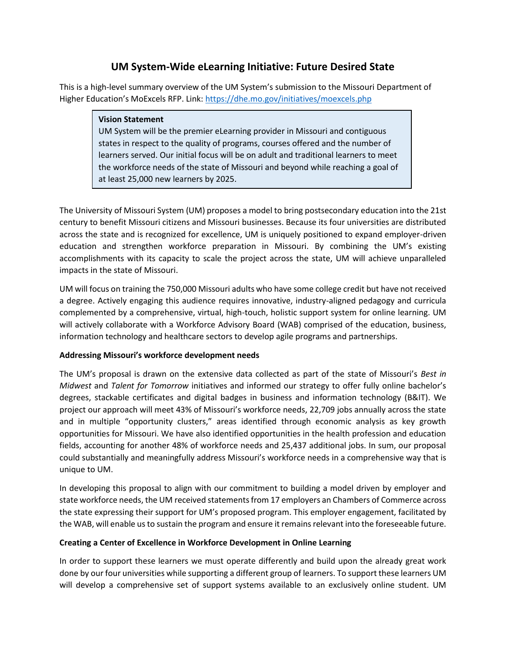# **UM System-Wide eLearning Initiative: Future Desired State**

This is a high-level summary overview of the UM System's submission to the Missouri Department of Higher Education's MoExcels RFP. Link: <https://dhe.mo.gov/initiatives/moexcels.php>

#### **Vision Statement**

UM System will be the premier eLearning provider in Missouri and contiguous states in respect to the quality of programs, courses offered and the number of learners served. Our initial focus will be on adult and traditional learners to meet the workforce needs of the state of Missouri and beyond while reaching a goal of at least 25,000 new learners by 2025.

The University of Missouri System (UM) proposes a model to bring postsecondary education into the 21st century to benefit Missouri citizens and Missouri businesses. Because its four universities are distributed across the state and is recognized for excellence, UM is uniquely positioned to expand employer-driven education and strengthen workforce preparation in Missouri. By combining the UM's existing accomplishments with its capacity to scale the project across the state, UM will achieve unparalleled impacts in the state of Missouri.

UM will focus on training the 750,000 Missouri adults who have some college credit but have not received a degree. Actively engaging this audience requires innovative, industry-aligned pedagogy and curricula complemented by a comprehensive, virtual, high-touch, holistic support system for online learning. UM will actively collaborate with a Workforce Advisory Board (WAB) comprised of the education, business, information technology and healthcare sectors to develop agile programs and partnerships.

## **Addressing Missouri's workforce development needs**

The UM's proposal is drawn on the extensive data collected as part of the state of Missouri's *Best in Midwest* and *Talent for Tomorrow* initiatives and informed our strategy to offer fully online bachelor's degrees, stackable certificates and digital badges in business and information technology (B&IT). We project our approach will meet 43% of Missouri's workforce needs, 22,709 jobs annually across the state and in multiple "opportunity clusters," areas identified through economic analysis as key growth opportunities for Missouri. We have also identified opportunities in the health profession and education fields, accounting for another 48% of workforce needs and 25,437 additional jobs. In sum, our proposal could substantially and meaningfully address Missouri's workforce needs in a comprehensive way that is unique to UM.

In developing this proposal to align with our commitment to building a model driven by employer and state workforce needs, the UM received statements from 17 employers an Chambers of Commerce across the state expressing their support for UM's proposed program. This employer engagement, facilitated by the WAB, will enable us to sustain the program and ensure it remains relevant into the foreseeable future.

## **Creating a Center of Excellence in Workforce Development in Online Learning**

In order to support these learners we must operate differently and build upon the already great work done by our four universities while supporting a different group of learners. To support these learners UM will develop a comprehensive set of support systems available to an exclusively online student. UM